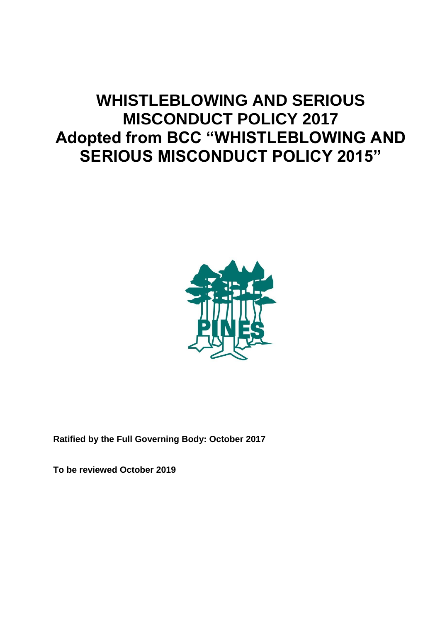# **WHISTLEBLOWING AND SERIOUS MISCONDUCT POLICY 2017 Adopted from BCC "WHISTLEBLOWING AND SERIOUS MISCONDUCT POLICY 2015"**



**Ratified by the Full Governing Body: October 2017**

**To be reviewed October 2019**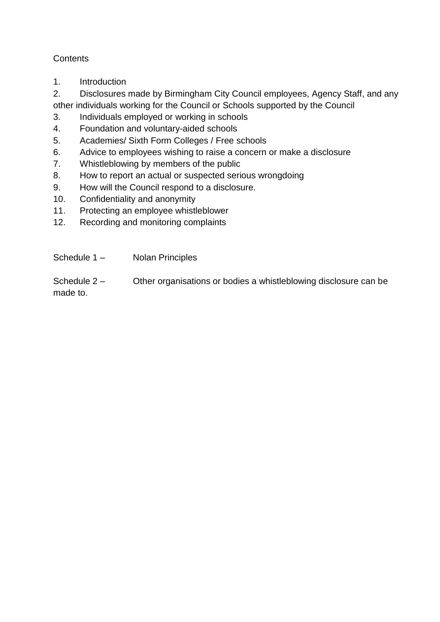## **Contents**

1. Introduction

2. Disclosures made by Birmingham City Council employees, Agency Staff, and any other individuals working for the Council or Schools supported by the Council

- 3. Individuals employed or working in schools
- 4. Foundation and voluntary-aided schools
- 5. Academies/ Sixth Form Colleges / Free schools
- 6. Advice to employees wishing to raise a concern or make a disclosure
- 7. Whistleblowing by members of the public
- 8. How to report an actual or suspected serious wrongdoing
- 9. How will the Council respond to a disclosure.
- 10. Confidentiality and anonymity
- 11. Protecting an employee whistleblower
- 12. Recording and monitoring complaints
- Schedule 1 Nolan Principles

Schedule 2 – Other organisations or bodies a whistleblowing disclosure can be made to.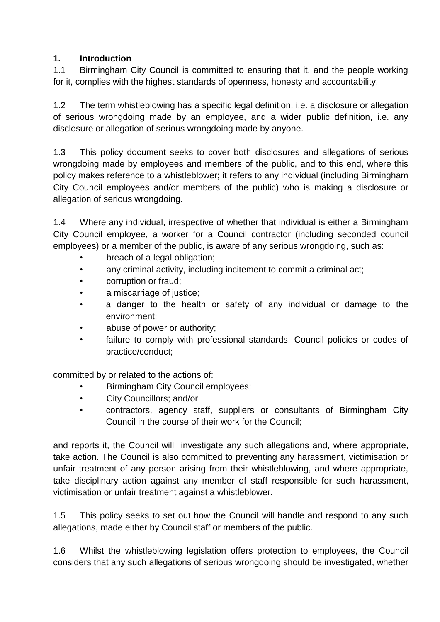### **1. Introduction**

1.1 Birmingham City Council is committed to ensuring that it, and the people working for it, complies with the highest standards of openness, honesty and accountability.

1.2 The term whistleblowing has a specific legal definition, i.e. a disclosure or allegation of serious wrongdoing made by an employee, and a wider public definition, i.e. any disclosure or allegation of serious wrongdoing made by anyone.

1.3 This policy document seeks to cover both disclosures and allegations of serious wrongdoing made by employees and members of the public, and to this end, where this policy makes reference to a whistleblower; it refers to any individual (including Birmingham City Council employees and/or members of the public) who is making a disclosure or allegation of serious wrongdoing.

1.4 Where any individual, irrespective of whether that individual is either a Birmingham City Council employee, a worker for a Council contractor (including seconded council employees) or a member of the public, is aware of any serious wrongdoing, such as:

- breach of a legal obligation;
- any criminal activity, including incitement to commit a criminal act;
- corruption or fraud;
- a miscarriage of justice;
- a danger to the health or safety of any individual or damage to the environment;
- abuse of power or authority;
- failure to comply with professional standards, Council policies or codes of practice/conduct;

committed by or related to the actions of:

- Birmingham City Council employees;
- City Councillors; and/or
- contractors, agency staff, suppliers or consultants of Birmingham City Council in the course of their work for the Council;

and reports it, the Council will investigate any such allegations and, where appropriate, take action. The Council is also committed to preventing any harassment, victimisation or unfair treatment of any person arising from their whistleblowing, and where appropriate, take disciplinary action against any member of staff responsible for such harassment, victimisation or unfair treatment against a whistleblower.

1.5 This policy seeks to set out how the Council will handle and respond to any such allegations, made either by Council staff or members of the public.

1.6 Whilst the whistleblowing legislation offers protection to employees, the Council considers that any such allegations of serious wrongdoing should be investigated, whether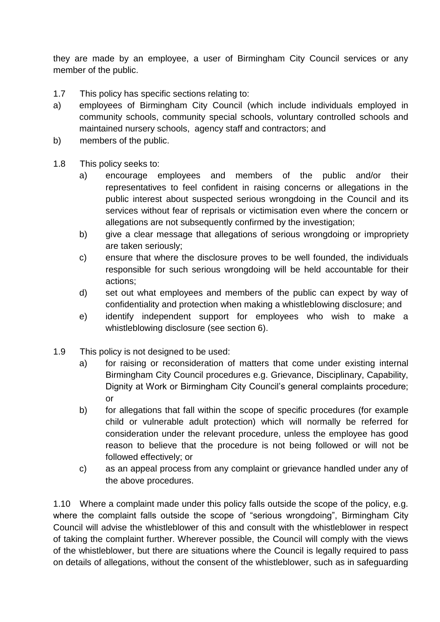they are made by an employee, a user of Birmingham City Council services or any member of the public.

- 1.7 This policy has specific sections relating to:
- a) employees of Birmingham City Council (which include individuals employed in community schools, community special schools, voluntary controlled schools and maintained nursery schools, agency staff and contractors; and
- b) members of the public.
- 1.8 This policy seeks to:
	- a) encourage employees and members of the public and/or their representatives to feel confident in raising concerns or allegations in the public interest about suspected serious wrongdoing in the Council and its services without fear of reprisals or victimisation even where the concern or allegations are not subsequently confirmed by the investigation;
	- b) give a clear message that allegations of serious wrongdoing or impropriety are taken seriously;
	- c) ensure that where the disclosure proves to be well founded, the individuals responsible for such serious wrongdoing will be held accountable for their actions;
	- d) set out what employees and members of the public can expect by way of confidentiality and protection when making a whistleblowing disclosure; and
	- e) identify independent support for employees who wish to make a whistleblowing disclosure (see section 6).
- 1.9 This policy is not designed to be used:
	- a) for raising or reconsideration of matters that come under existing internal Birmingham City Council procedures e.g. Grievance, Disciplinary, Capability, Dignity at Work or Birmingham City Council's general complaints procedure; or
	- b) for allegations that fall within the scope of specific procedures (for example child or vulnerable adult protection) which will normally be referred for consideration under the relevant procedure, unless the employee has good reason to believe that the procedure is not being followed or will not be followed effectively; or
	- c) as an appeal process from any complaint or grievance handled under any of the above procedures.

1.10 Where a complaint made under this policy falls outside the scope of the policy, e.g. where the complaint falls outside the scope of "serious wrongdoing", Birmingham City Council will advise the whistleblower of this and consult with the whistleblower in respect of taking the complaint further. Wherever possible, the Council will comply with the views of the whistleblower, but there are situations where the Council is legally required to pass on details of allegations, without the consent of the whistleblower, such as in safeguarding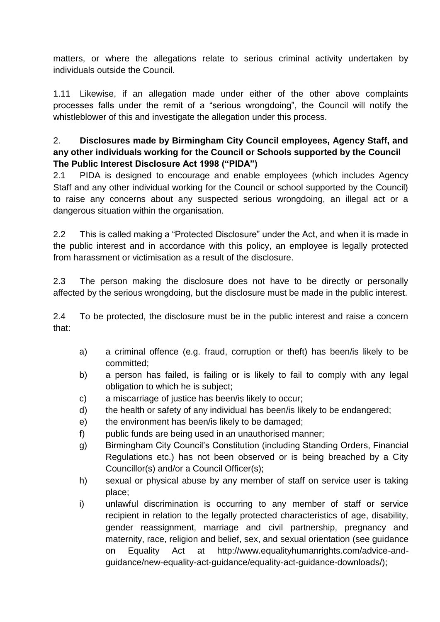matters, or where the allegations relate to serious criminal activity undertaken by individuals outside the Council.

1.11 Likewise, if an allegation made under either of the other above complaints processes falls under the remit of a "serious wrongdoing", the Council will notify the whistleblower of this and investigate the allegation under this process.

## 2. **Disclosures made by Birmingham City Council employees, Agency Staff, and any other individuals working for the Council or Schools supported by the Council The Public Interest Disclosure Act 1998 ("PIDA")**

2.1 PIDA is designed to encourage and enable employees (which includes Agency Staff and any other individual working for the Council or school supported by the Council) to raise any concerns about any suspected serious wrongdoing, an illegal act or a dangerous situation within the organisation.

2.2 This is called making a "Protected Disclosure" under the Act, and when it is made in the public interest and in accordance with this policy, an employee is legally protected from harassment or victimisation as a result of the disclosure.

2.3 The person making the disclosure does not have to be directly or personally affected by the serious wrongdoing, but the disclosure must be made in the public interest.

2.4 To be protected, the disclosure must be in the public interest and raise a concern that:

- a) a criminal offence (e.g. fraud, corruption or theft) has been/is likely to be committed;
- b) a person has failed, is failing or is likely to fail to comply with any legal obligation to which he is subject;
- c) a miscarriage of justice has been/is likely to occur;
- d) the health or safety of any individual has been/is likely to be endangered;
- e) the environment has been/is likely to be damaged;
- f) public funds are being used in an unauthorised manner;
- g) Birmingham City Council's Constitution (including Standing Orders, Financial Regulations etc.) has not been observed or is being breached by a City Councillor(s) and/or a Council Officer(s);
- h) sexual or physical abuse by any member of staff on service user is taking place;
- i) unlawful discrimination is occurring to any member of staff or service recipient in relation to the legally protected characteristics of age, disability, gender reassignment, marriage and civil partnership, pregnancy and maternity, race, religion and belief, sex, and sexual orientation (see guidance on Equality Act at http://www.equalityhumanrights.com/advice-andguidance/new-equality-act-guidance/equality-act-guidance-downloads/);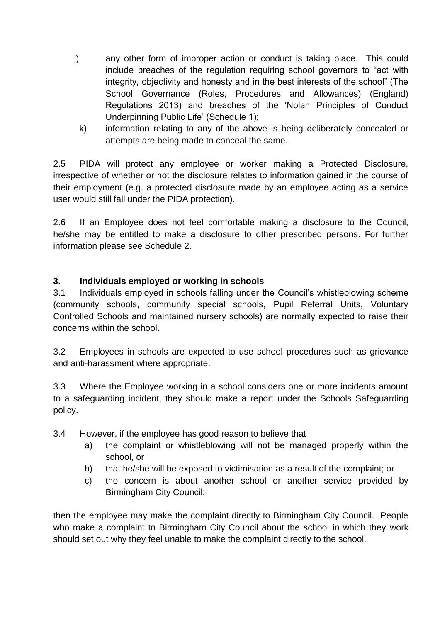- j) any other form of improper action or conduct is taking place. This could include breaches of the regulation requiring school governors to "act with integrity, objectivity and honesty and in the best interests of the school" (The School Governance (Roles, Procedures and Allowances) (England) Regulations 2013) and breaches of the 'Nolan Principles of Conduct Underpinning Public Life' (Schedule 1);
	- k) information relating to any of the above is being deliberately concealed or attempts are being made to conceal the same.

2.5 PIDA will protect any employee or worker making a Protected Disclosure, irrespective of whether or not the disclosure relates to information gained in the course of their employment (e.g. a protected disclosure made by an employee acting as a service user would still fall under the PIDA protection).

2.6 If an Employee does not feel comfortable making a disclosure to the Council, he/she may be entitled to make a disclosure to other prescribed persons. For further information please see Schedule 2.

#### **3. Individuals employed or working in schools**

3.1 Individuals employed in schools falling under the Council's whistleblowing scheme (community schools, community special schools, Pupil Referral Units, Voluntary Controlled Schools and maintained nursery schools) are normally expected to raise their concerns within the school.

3.2 Employees in schools are expected to use school procedures such as grievance and anti-harassment where appropriate.

3.3 Where the Employee working in a school considers one or more incidents amount to a safeguarding incident, they should make a report under the Schools Safeguarding policy.

- 3.4 However, if the employee has good reason to believe that
	- a) the complaint or whistleblowing will not be managed properly within the school, or
	- b) that he/she will be exposed to victimisation as a result of the complaint; or
	- c) the concern is about another school or another service provided by Birmingham City Council;

then the employee may make the complaint directly to Birmingham City Council. People who make a complaint to Birmingham City Council about the school in which they work should set out why they feel unable to make the complaint directly to the school.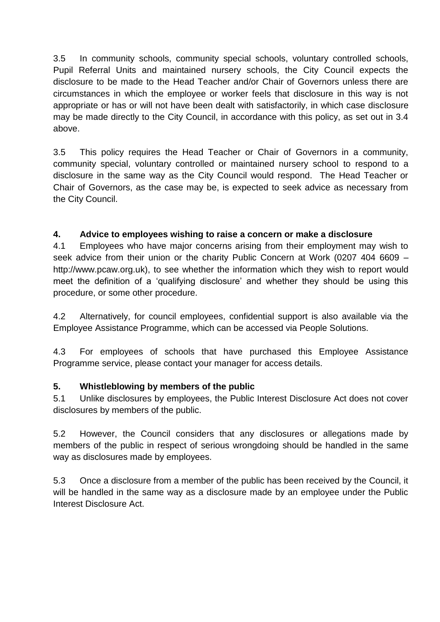3.5 In community schools, community special schools, voluntary controlled schools, Pupil Referral Units and maintained nursery schools, the City Council expects the disclosure to be made to the Head Teacher and/or Chair of Governors unless there are circumstances in which the employee or worker feels that disclosure in this way is not appropriate or has or will not have been dealt with satisfactorily, in which case disclosure may be made directly to the City Council, in accordance with this policy, as set out in 3.4 above.

3.5 This policy requires the Head Teacher or Chair of Governors in a community, community special, voluntary controlled or maintained nursery school to respond to a disclosure in the same way as the City Council would respond. The Head Teacher or Chair of Governors, as the case may be, is expected to seek advice as necessary from the City Council.

#### **4. Advice to employees wishing to raise a concern or make a disclosure**

4.1 Employees who have major concerns arising from their employment may wish to seek advice from their union or the charity Public Concern at Work (0207 404 6609 – http://www.pcaw.org.uk), to see whether the information which they wish to report would meet the definition of a 'qualifying disclosure' and whether they should be using this procedure, or some other procedure.

4.2 Alternatively, for council employees, confidential support is also available via the Employee Assistance Programme, which can be accessed via People Solutions.

4.3 For employees of schools that have purchased this Employee Assistance Programme service, please contact your manager for access details.

#### **5. Whistleblowing by members of the public**

5.1 Unlike disclosures by employees, the Public Interest Disclosure Act does not cover disclosures by members of the public.

5.2 However, the Council considers that any disclosures or allegations made by members of the public in respect of serious wrongdoing should be handled in the same way as disclosures made by employees.

5.3 Once a disclosure from a member of the public has been received by the Council, it will be handled in the same way as a disclosure made by an employee under the Public Interest Disclosure Act.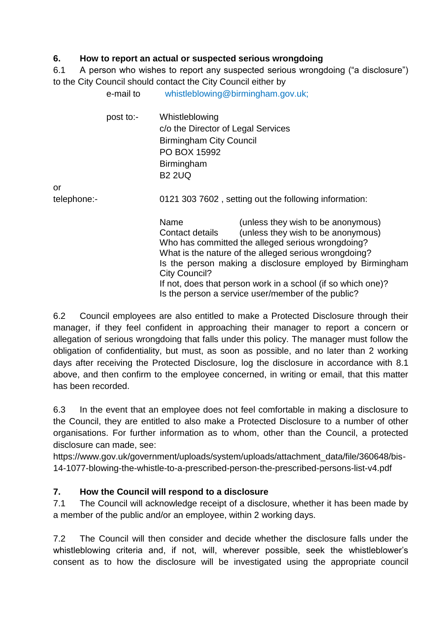#### **6. How to report an actual or suspected serious wrongdoing**

 $e$ -mail to whistleblowing@birmingham.gov.uk;

6.1 A person who wishes to report any suspected serious wrongdoing ("a disclosure") to the City Council should contact the City Council either by

|             | post to:- | Whistleblowing<br>c/o the Director of Legal Services<br><b>Birmingham City Council</b><br>PO BOX 15992<br>Birmingham<br><b>B2 2UQ</b>                                                                                                                                                                                                                                                                                |  |
|-------------|-----------|----------------------------------------------------------------------------------------------------------------------------------------------------------------------------------------------------------------------------------------------------------------------------------------------------------------------------------------------------------------------------------------------------------------------|--|
| or          |           |                                                                                                                                                                                                                                                                                                                                                                                                                      |  |
| telephone:- |           | 0121 303 7602, setting out the following information:                                                                                                                                                                                                                                                                                                                                                                |  |
|             |           | Name<br>(unless they wish to be anonymous)<br>(unless they wish to be anonymous)<br>Contact details<br>Who has committed the alleged serious wrongdoing?<br>What is the nature of the alleged serious wrongdoing?<br>Is the person making a disclosure employed by Birmingham<br>City Council?<br>If not, does that person work in a school (if so which one)?<br>Is the person a service user/member of the public? |  |

6.2 Council employees are also entitled to make a Protected Disclosure through their manager, if they feel confident in approaching their manager to report a concern or allegation of serious wrongdoing that falls under this policy. The manager must follow the obligation of confidentiality, but must, as soon as possible, and no later than 2 working days after receiving the Protected Disclosure, log the disclosure in accordance with 8.1 above, and then confirm to the employee concerned, in writing or email, that this matter has been recorded.

6.3 In the event that an employee does not feel comfortable in making a disclosure to the Council, they are entitled to also make a Protected Disclosure to a number of other organisations. For further information as to whom, other than the Council, a protected disclosure can made, see:

https://www.gov.uk/government/uploads/system/uploads/attachment\_data/file/360648/bis-14-1077-blowing-the-whistle-to-a-prescribed-person-the-prescribed-persons-list-v4.pdf

## **7. How the Council will respond to a disclosure**

7.1 The Council will acknowledge receipt of a disclosure, whether it has been made by a member of the public and/or an employee, within 2 working days.

7.2 The Council will then consider and decide whether the disclosure falls under the whistleblowing criteria and, if not, will, wherever possible, seek the whistleblower's consent as to how the disclosure will be investigated using the appropriate council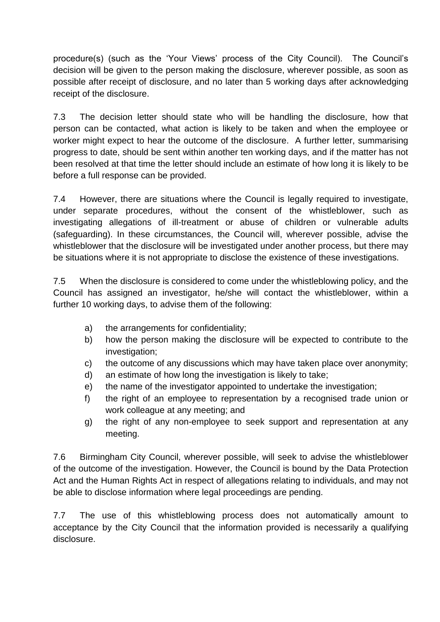procedure(s) (such as the 'Your Views' process of the City Council). The Council's decision will be given to the person making the disclosure, wherever possible, as soon as possible after receipt of disclosure, and no later than 5 working days after acknowledging receipt of the disclosure.

7.3 The decision letter should state who will be handling the disclosure, how that person can be contacted, what action is likely to be taken and when the employee or worker might expect to hear the outcome of the disclosure. A further letter, summarising progress to date, should be sent within another ten working days, and if the matter has not been resolved at that time the letter should include an estimate of how long it is likely to be before a full response can be provided.

7.4 However, there are situations where the Council is legally required to investigate, under separate procedures, without the consent of the whistleblower, such as investigating allegations of ill-treatment or abuse of children or vulnerable adults (safeguarding). In these circumstances, the Council will, wherever possible, advise the whistleblower that the disclosure will be investigated under another process, but there may be situations where it is not appropriate to disclose the existence of these investigations.

7.5 When the disclosure is considered to come under the whistleblowing policy, and the Council has assigned an investigator, he/she will contact the whistleblower, within a further 10 working days, to advise them of the following:

- a) the arrangements for confidentiality;
- b) how the person making the disclosure will be expected to contribute to the investigation;
- c) the outcome of any discussions which may have taken place over anonymity;
- d) an estimate of how long the investigation is likely to take;
- e) the name of the investigator appointed to undertake the investigation;
- f) the right of an employee to representation by a recognised trade union or work colleague at any meeting; and
- g) the right of any non-employee to seek support and representation at any meeting.

7.6 Birmingham City Council, wherever possible, will seek to advise the whistleblower of the outcome of the investigation. However, the Council is bound by the Data Protection Act and the Human Rights Act in respect of allegations relating to individuals, and may not be able to disclose information where legal proceedings are pending.

7.7 The use of this whistleblowing process does not automatically amount to acceptance by the City Council that the information provided is necessarily a qualifying disclosure.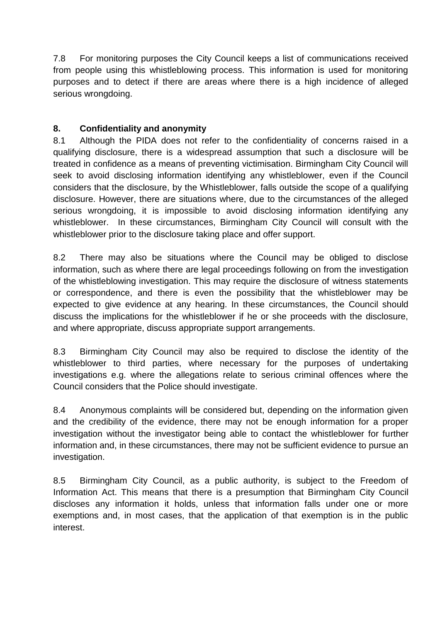7.8 For monitoring purposes the City Council keeps a list of communications received from people using this whistleblowing process. This information is used for monitoring purposes and to detect if there are areas where there is a high incidence of alleged serious wrongdoing.

### **8. Confidentiality and anonymity**

8.1 Although the PIDA does not refer to the confidentiality of concerns raised in a qualifying disclosure, there is a widespread assumption that such a disclosure will be treated in confidence as a means of preventing victimisation. Birmingham City Council will seek to avoid disclosing information identifying any whistleblower, even if the Council considers that the disclosure, by the Whistleblower, falls outside the scope of a qualifying disclosure. However, there are situations where, due to the circumstances of the alleged serious wrongdoing, it is impossible to avoid disclosing information identifying any whistleblower. In these circumstances, Birmingham City Council will consult with the whistleblower prior to the disclosure taking place and offer support.

8.2 There may also be situations where the Council may be obliged to disclose information, such as where there are legal proceedings following on from the investigation of the whistleblowing investigation. This may require the disclosure of witness statements or correspondence, and there is even the possibility that the whistleblower may be expected to give evidence at any hearing. In these circumstances, the Council should discuss the implications for the whistleblower if he or she proceeds with the disclosure, and where appropriate, discuss appropriate support arrangements.

8.3 Birmingham City Council may also be required to disclose the identity of the whistleblower to third parties, where necessary for the purposes of undertaking investigations e.g. where the allegations relate to serious criminal offences where the Council considers that the Police should investigate.

8.4 Anonymous complaints will be considered but, depending on the information given and the credibility of the evidence, there may not be enough information for a proper investigation without the investigator being able to contact the whistleblower for further information and, in these circumstances, there may not be sufficient evidence to pursue an investigation.

8.5 Birmingham City Council, as a public authority, is subject to the Freedom of Information Act. This means that there is a presumption that Birmingham City Council discloses any information it holds, unless that information falls under one or more exemptions and, in most cases, that the application of that exemption is in the public interest.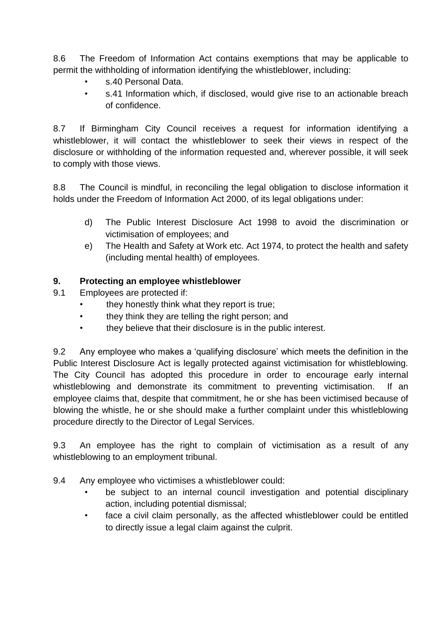8.6 The Freedom of Information Act contains exemptions that may be applicable to permit the withholding of information identifying the whistleblower, including:

- s.40 Personal Data.
- s.41 Information which, if disclosed, would give rise to an actionable breach of confidence.

8.7 If Birmingham City Council receives a request for information identifying a whistleblower, it will contact the whistleblower to seek their views in respect of the disclosure or withholding of the information requested and, wherever possible, it will seek to comply with those views.

8.8 The Council is mindful, in reconciling the legal obligation to disclose information it holds under the Freedom of Information Act 2000, of its legal obligations under:

- d) The Public Interest Disclosure Act 1998 to avoid the discrimination or victimisation of employees; and
- e) The Health and Safety at Work etc. Act 1974, to protect the health and safety (including mental health) of employees.

## **9. Protecting an employee whistleblower**

- 9.1 Employees are protected if:
	- they honestly think what they report is true:
	- they think they are telling the right person; and
	- they believe that their disclosure is in the public interest.

9.2 Any employee who makes a 'qualifying disclosure' which meets the definition in the Public Interest Disclosure Act is legally protected against victimisation for whistleblowing. The City Council has adopted this procedure in order to encourage early internal whistleblowing and demonstrate its commitment to preventing victimisation. If an employee claims that, despite that commitment, he or she has been victimised because of blowing the whistle, he or she should make a further complaint under this whistleblowing procedure directly to the Director of Legal Services.

9.3 An employee has the right to complain of victimisation as a result of any whistleblowing to an employment tribunal.

9.4 Any employee who victimises a whistleblower could:

- be subject to an internal council investigation and potential disciplinary action, including potential dismissal;
- face a civil claim personally, as the affected whistleblower could be entitled to directly issue a legal claim against the culprit.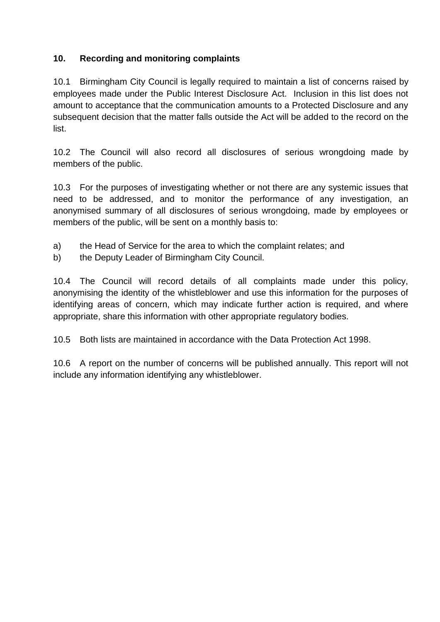#### **10. Recording and monitoring complaints**

10.1 Birmingham City Council is legally required to maintain a list of concerns raised by employees made under the Public Interest Disclosure Act. Inclusion in this list does not amount to acceptance that the communication amounts to a Protected Disclosure and any subsequent decision that the matter falls outside the Act will be added to the record on the list.

10.2 The Council will also record all disclosures of serious wrongdoing made by members of the public.

10.3 For the purposes of investigating whether or not there are any systemic issues that need to be addressed, and to monitor the performance of any investigation, an anonymised summary of all disclosures of serious wrongdoing, made by employees or members of the public, will be sent on a monthly basis to:

- a) the Head of Service for the area to which the complaint relates; and
- b) the Deputy Leader of Birmingham City Council.

10.4 The Council will record details of all complaints made under this policy, anonymising the identity of the whistleblower and use this information for the purposes of identifying areas of concern, which may indicate further action is required, and where appropriate, share this information with other appropriate regulatory bodies.

10.5 Both lists are maintained in accordance with the Data Protection Act 1998.

10.6 A report on the number of concerns will be published annually. This report will not include any information identifying any whistleblower.